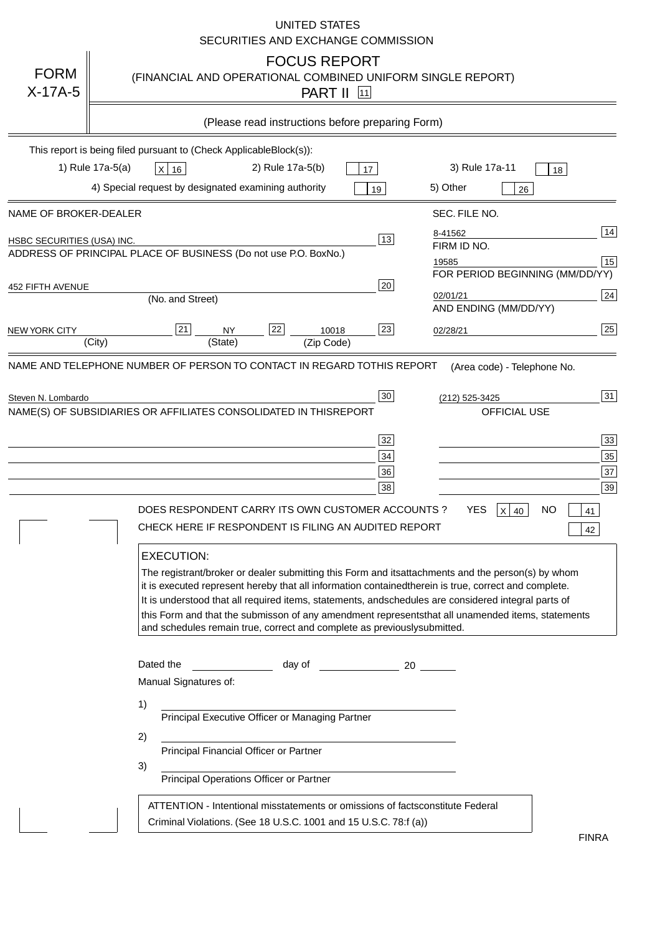|                                   | <b>UNITED STATES</b><br>SECURITIES AND EXCHANGE COMMISSION                                                                                                                                                                                                                                                                                                                                                                                                                                                                                                                                                                                                                                                                                                                                                                                                                                             |
|-----------------------------------|--------------------------------------------------------------------------------------------------------------------------------------------------------------------------------------------------------------------------------------------------------------------------------------------------------------------------------------------------------------------------------------------------------------------------------------------------------------------------------------------------------------------------------------------------------------------------------------------------------------------------------------------------------------------------------------------------------------------------------------------------------------------------------------------------------------------------------------------------------------------------------------------------------|
| <b>FORM</b><br>$X-17A-5$          | <b>FOCUS REPORT</b><br>(FINANCIAL AND OPERATIONAL COMBINED UNIFORM SINGLE REPORT)<br><b>PART II</b> 11                                                                                                                                                                                                                                                                                                                                                                                                                                                                                                                                                                                                                                                                                                                                                                                                 |
|                                   | (Please read instructions before preparing Form)                                                                                                                                                                                                                                                                                                                                                                                                                                                                                                                                                                                                                                                                                                                                                                                                                                                       |
|                                   | This report is being filed pursuant to (Check Applicable<br>$Block(s)$ :<br>3) Rule 17a-11<br>1) Rule 17a-5(a)<br>2) Rule 17a-5(b)<br>$X$ 16<br>17<br>18<br>4) Special request by designated examining authority<br>5) Other<br>19<br>26                                                                                                                                                                                                                                                                                                                                                                                                                                                                                                                                                                                                                                                               |
| NAME OF BROKER-DEALER             | SEC. FILE NO.                                                                                                                                                                                                                                                                                                                                                                                                                                                                                                                                                                                                                                                                                                                                                                                                                                                                                          |
| <b>HSBC SECURITIES (USA) INC.</b> | 14<br>8-41562<br>13<br>FIRM ID NO.<br>ADDRESS OF PRINCIPAL PLACE OF BUSINESS (Do not use P.O. Box<br>No.)<br>15<br>19585<br>FOR PERIOD BEGINNING (MM/DD/YY)                                                                                                                                                                                                                                                                                                                                                                                                                                                                                                                                                                                                                                                                                                                                            |
| <b>452 FIFTH AVENUE</b>           | 20<br>24<br>02/01/21<br>(No. and Street)<br>AND ENDING (MM/DD/YY)                                                                                                                                                                                                                                                                                                                                                                                                                                                                                                                                                                                                                                                                                                                                                                                                                                      |
| <b>NEW YORK CITY</b>              | 25<br>22<br>21<br>23<br><b>NY</b><br>10018<br>02/28/21<br>(City)<br>(State)<br>(Zip Code)                                                                                                                                                                                                                                                                                                                                                                                                                                                                                                                                                                                                                                                                                                                                                                                                              |
| Steven N. Lombardo                | 31<br>30<br>(212) 525-3425<br>NAME(S) OF SUBSIDIARIES OR AFFILIATES CONSOLIDATED IN THIS<br><b>REPORT</b><br><b>OFFICIAL USE</b><br>$\overline{33}$<br>32<br>35<br>34<br>37<br>36<br>39<br>38<br>DOES RESPONDENT CARRY ITS OWN CUSTOMER ACCOUNTS?<br><b>YES</b><br>$X$ 40<br><b>NO</b><br>41<br>CHECK HERE IF RESPONDENT IS FILING AN AUDITED REPORT<br>42<br><b>EXECUTION:</b><br>The registrant/broker or dealer submitting this Form and its<br>attachments and the person(s) by whom<br>it is executed represent hereby that all information contained<br>therein is true, correct and complete.<br>It is understood that all required items, statements, and<br>schedules are considered integral parts of<br>this Form and that the submisson of any amendment represents<br>that all unamended items, statements<br>and schedules remain true, correct and complete as previously<br>submitted. |
|                                   | Dated the<br>day of<br>20<br>Manual Signatures of:<br>1)<br>Principal Executive Officer or Managing Partner<br>2)<br>Principal Financial Officer or Partner<br>3)<br>Principal Operations Officer or Partner                                                                                                                                                                                                                                                                                                                                                                                                                                                                                                                                                                                                                                                                                           |
|                                   | ATTENTION - Intentional misstatements or omissions of facts<br>constitute Federal<br>Criminal Violations. (See 18 U.S.C. 1001 and 15 U.S.C. 78:f (a)<br>$\lambda$<br><b>FINRA</b>                                                                                                                                                                                                                                                                                                                                                                                                                                                                                                                                                                                                                                                                                                                      |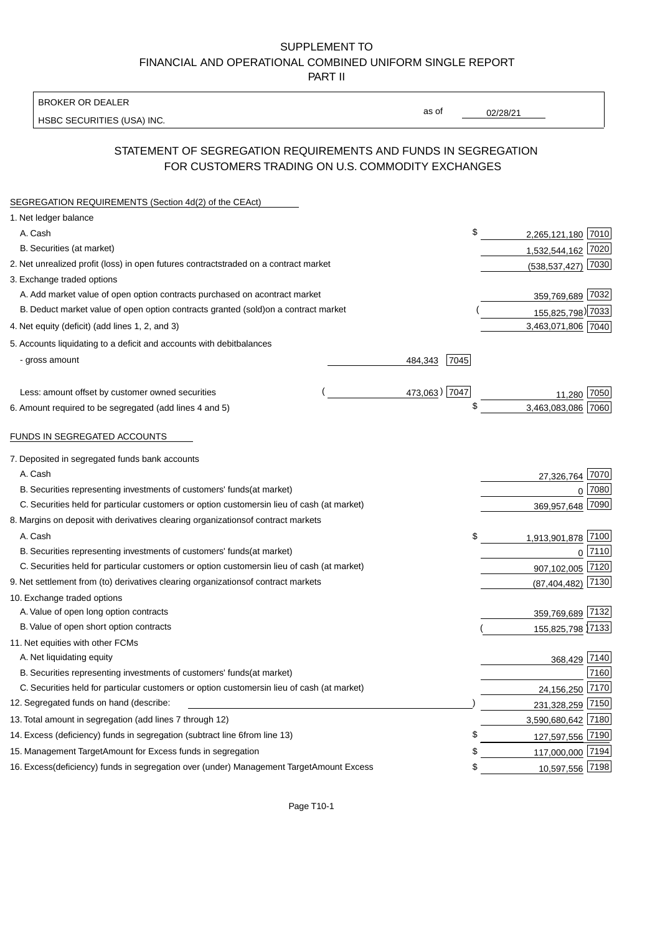BROKER OR DEALER

HSBC SECURITIES (USA) INC.

02/28/21

as of

## STATEMENT OF SEGREGATION REQUIREMENTS AND FUNDS IN SEGREGATION FOR CUSTOMERS TRADING ON U.S. COMMODITY EXCHANGES

| SEGREGATION REQUIREMENTS (Section 4d(2) of the CEAct)                                          |                 |                        |             |
|------------------------------------------------------------------------------------------------|-----------------|------------------------|-------------|
| 1. Net ledger balance                                                                          |                 |                        |             |
| A. Cash                                                                                        | \$              | 2,265,121,180 7010     |             |
| B. Securities (at market)                                                                      |                 | 1,532,544,162 7020     |             |
| 2. Net unrealized profit (loss) in open futures contracts<br>traded on a contract market       |                 | $(538, 537, 427)$ 7030 |             |
| 3. Exchange traded options                                                                     |                 |                        |             |
| A. Add market value of open option contracts purchased on a<br>contract market                 |                 | 359,769,689 7032       |             |
| B. Deduct market value of open option contracts granted (sold)<br>on a contract market         |                 | 155,825,798) 7033      |             |
| 4. Net equity (deficit) (add lines 1, 2, and 3)                                                |                 | 3,463,071,806 7040     |             |
| 5. Accounts liquidating to a deficit and accounts with debit<br>balances                       |                 |                        |             |
| - gross amount                                                                                 | 7045<br>484,343 |                        |             |
|                                                                                                |                 |                        |             |
| Less: amount offset by customer owned securities                                               | 473,063) 7047   | 11,280                 | 7050        |
| 6. Amount required to be segregated (add lines 4 and 5)                                        | \$              | 3,463,083,086 7060     |             |
|                                                                                                |                 |                        |             |
| FUNDS IN SEGREGATED ACCOUNTS                                                                   |                 |                        |             |
| 7. Deposited in segregated funds bank accounts                                                 |                 |                        |             |
| A. Cash                                                                                        |                 | 27,326,764             | 7070        |
| B. Securities representing investments of customers' funds<br>(at market)                      |                 | $\Omega$               | 7080        |
| C. Securities held for particular customers or option customers<br>in lieu of cash (at market) |                 | 369,957,648            | 7090        |
| 8. Margins on deposit with derivatives clearing organizations<br>of contract markets           |                 |                        |             |
| A. Cash                                                                                        | \$              | 1,913,901,878 7100     |             |
| B. Securities representing investments of customers' funds<br>(at market)                      |                 |                        | $0^{17110}$ |
| C. Securities held for particular customers or option customers<br>in lieu of cash (at market) |                 | 907,102,005 7120       |             |
| 9. Net settlement from (to) derivatives clearing organizations<br>of contract markets          |                 | (87, 404, 482)         | 7130        |
| 10. Exchange traded options                                                                    |                 |                        |             |
| A. Value of open long option contracts                                                         |                 | 359,769,689 7132       |             |
| B. Value of open short option contracts                                                        |                 | 155,825,798 7133       |             |
| 11. Net equities with other FCMs                                                               |                 |                        |             |
| A. Net liquidating equity                                                                      |                 | 368,429 7140           |             |
| B. Securities representing investments of customers' funds<br>(at market)                      |                 |                        | 7160        |
| C. Securities held for particular customers or option customers<br>in lieu of cash (at market) |                 | 24,156,250             | 7170        |
| 12. Segregated funds on hand (describe:                                                        |                 | 231,328,259 7150       |             |
| 13. Total amount in segregation (add lines 7 through 12)                                       |                 | 3,590,680,642 7180     |             |
| 14. Excess (deficiency) funds in segregation (subtract line 6 from line 13)                    | \$              | 127,597,556 7190       |             |
| 15. Management Target Amount for Excess funds in segregation                                   | S               | 117,000,000 7194       |             |
| 16. Excess (deficiency) funds in segregation over (under) Management Target Amount Excess      | \$              | 10,597,556 7198        |             |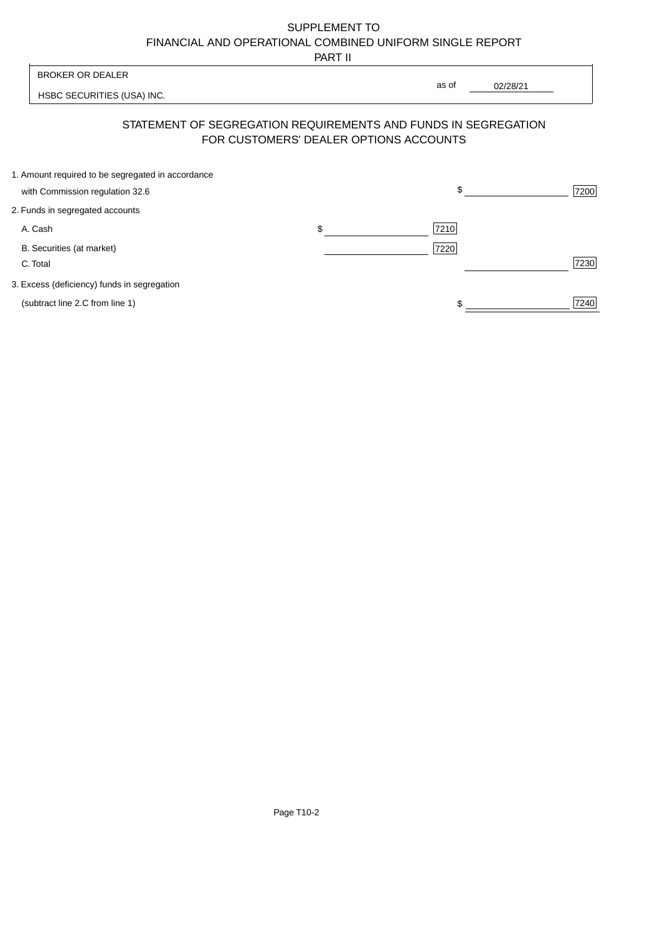PART II

|                                                   | 1 AB 11                                                                                                  |       |          |      |
|---------------------------------------------------|----------------------------------------------------------------------------------------------------------|-------|----------|------|
| <b>BROKER OR DEALER</b>                           |                                                                                                          | as of |          |      |
| HSBC SECURITIES (USA) INC.                        |                                                                                                          |       | 02/28/21 |      |
|                                                   | STATEMENT OF SEGREGATION REQUIREMENTS AND FUNDS IN SEGREGATION<br>FOR CUSTOMERS' DEALER OPTIONS ACCOUNTS |       |          |      |
| 1. Amount required to be segregated in accordance |                                                                                                          |       |          |      |
| with Commission regulation 32.6                   |                                                                                                          | \$    |          | 7200 |
| 2. Funds in segregated accounts                   |                                                                                                          |       |          |      |
| A. Cash                                           | \$                                                                                                       | 7210  |          |      |
| B. Securities (at market)                         |                                                                                                          | 7220  |          |      |
| C. Total                                          |                                                                                                          |       |          | 7230 |
| 3. Excess (deficiency) funds in segregation       |                                                                                                          |       |          |      |
| (subtract line 2.C from line 1)                   |                                                                                                          |       |          | 7240 |
|                                                   |                                                                                                          |       |          |      |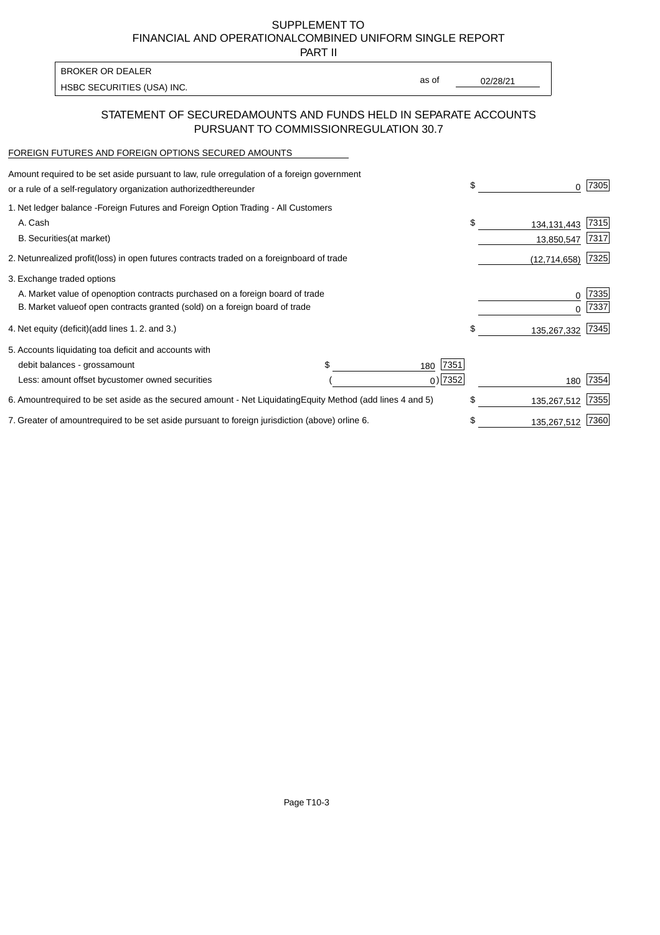PART II

HSBC SECURITIES (USA) INC. The state of the second second second second second second second second second second second second second second second second second second second second second second second second second sec BROKER OR DEALER

as of

## STATEMENT OF SECURED AMOUNTS AND FUNDS HELD IN SEPARATE ACCOUNTS PURSUANT TO COMMISSION REGULATION 30.7

#### FOREIGN FUTURES AND FOREIGN OPTIONS SECURED AMOUNTS

| Amount required to be set aside pursuant to law, rule or<br>regulation of a foreign government<br>or a rule of a self-regulatory organization authorized<br>thereunder                       |                                   | \$<br>O.                          | 7305         |
|----------------------------------------------------------------------------------------------------------------------------------------------------------------------------------------------|-----------------------------------|-----------------------------------|--------------|
| 1. Net ledger balance - Foreign Futures and Foreign Option Trading - All Customers<br>A. Cash<br><b>B.</b> Securities<br>(at market)                                                         |                                   | \$<br>134, 131, 443<br>13,850,547 | 7315<br>7317 |
| 2. Net unrealized profit (loss) in open futures contracts traded on a foreign                                                                                                                | board of trade                    | (12, 714, 658)                    | 7325         |
| 3. Exchange traded options<br>A. Market value of open option contracts purchased on a foreign board of trade<br>B. Market value of open contracts granted (sold) on a foreign board of trade |                                   | 0<br><sup>0</sup>                 | 7335<br>7337 |
| 4. Net equity (deficit) (add lines 1.2. and 3.)                                                                                                                                              |                                   | \$<br>135,267,332                 | 7345         |
| 5. Accounts liquidating to a deficit and accounts with<br>debit balances - gross<br>amount<br>Less: amount offset by customer owned securities                                               | \$.<br>7351<br>180<br>$0)$ 7352   | 180                               | 7354         |
| 6. Amount required to be set aside as the secured amount - Net Liquidating                                                                                                                   | Equity Method (add lines 4 and 5) | \$<br>135,267,512                 | 7355         |
| 7. Greater of amount required to be set aside pursuant to foreign jurisdiction (above) or                                                                                                    | line 6.                           | \$<br>135,267,512                 | 7360         |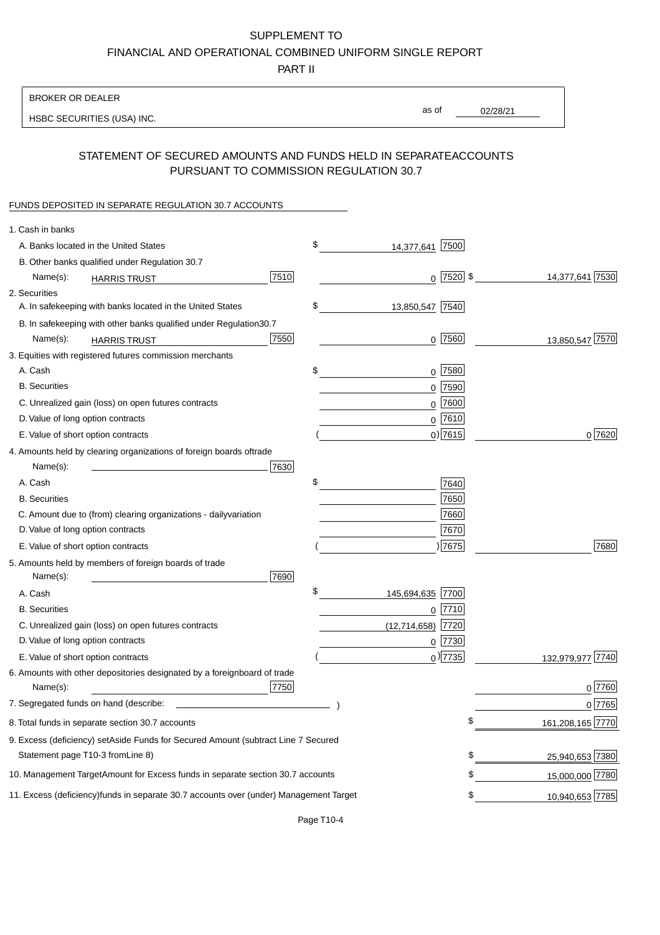PART II

| <b>BROKER OR DEALER</b>                                                                           |                        |             |                 |                  |
|---------------------------------------------------------------------------------------------------|------------------------|-------------|-----------------|------------------|
| HSBC SECURITIES (USA) INC.                                                                        | as of                  |             | 02/28/21        |                  |
|                                                                                                   |                        |             |                 |                  |
| STATEMENT OF SECURED AMOUNTS AND FUNDS HELD IN SEPARATE<br>PURSUANT TO COMMISSION REGULATION 30.7 |                        |             | <b>ACCOUNTS</b> |                  |
| FUNDS DEPOSITED IN SEPARATE REGULATION 30.7 ACCOUNTS                                              |                        |             |                 |                  |
| 1. Cash in banks                                                                                  |                        |             |                 |                  |
| A. Banks located in the United States                                                             | \$<br>14,377,641       | 7500        |                 |                  |
| B. Other banks qualified under Regulation 30.7                                                    |                        |             |                 |                  |
| 7510<br>Name(s):<br><b>HARRIS TRUST</b>                                                           |                        | $0$ 7520 \$ |                 | 14,377,641 7530  |
| 2. Securities                                                                                     |                        |             |                 |                  |
| A. In safekeeping with banks located in the United States                                         | \$<br>13,850,547 7540  |             |                 |                  |
| B. In safekeeping with other banks qualified under Regulation<br>30.7                             |                        |             |                 |                  |
| 7550<br>Name(s):<br><b>HARRIS TRUST</b>                                                           |                        | 0 7560      |                 | 13,850,547 7570  |
| 3. Equities with registered futures commission merchants                                          |                        |             |                 |                  |
| A. Cash                                                                                           | \$                     | $0$ 7580    |                 |                  |
| <b>B.</b> Securities                                                                              |                        | $0$ 7590    |                 |                  |
| C. Unrealized gain (loss) on open futures contracts                                               |                        | $0$ 7600    |                 |                  |
| D. Value of long option contracts                                                                 |                        | $0$ 7610    |                 |                  |
| E. Value of short option contracts                                                                |                        | $0)$ 7615   |                 | 0 7620           |
| 4. Amounts held by clearing organizations of foreign boards of<br>trade                           |                        |             |                 |                  |
| Name(s):<br>7630                                                                                  |                        |             |                 |                  |
| A. Cash                                                                                           | \$                     | 7640        |                 |                  |
| <b>B.</b> Securities                                                                              |                        | 7650        |                 |                  |
| C. Amount due to (from) clearing organizations - daily<br>variation                               |                        | 7660        |                 |                  |
| D. Value of long option contracts                                                                 |                        | 7670        |                 |                  |
| E. Value of short option contracts                                                                |                        | ) 7675      |                 | 7680             |
| 5. Amounts held by members of foreign boards of trade<br>Name(s):<br>7690                         |                        |             |                 |                  |
| A. Cash                                                                                           | \$<br>145,694,635 7700 |             |                 |                  |
| <b>B.</b> Securities                                                                              |                        | 0 7710      |                 |                  |
| C. Unrealized gain (loss) on open futures contracts                                               | $(12,714,658)$ 7720    |             |                 |                  |
| D. Value of long option contracts                                                                 |                        | $0$  7730   |                 |                  |
| E. Value of short option contracts                                                                |                        | $0$ ) 7735  |                 | 132,979,977 7740 |
| 6. Amounts with other depositories designated by a foreign<br>board of trade<br>7750<br>Name(s):  |                        |             |                 | 0 7760           |
| 7. Segregated funds on hand (describe:                                                            |                        |             |                 | $0$ 7765         |
| 8. Total funds in separate section 30.7 accounts                                                  |                        |             | \$              | 161,208,165 7770 |
| 9. Excess (deficiency) set Aside Funds for Secured Amount (subtract Line 7 Secured                |                        |             |                 |                  |
| Statement page T10-3 from Line 8)                                                                 |                        |             | \$              | 25,940,653 7380  |
| 10. Management Target Amount for Excess funds in separate section 30.7 accounts                   |                        |             | \$              | 15,000,000 7780  |
|                                                                                                   |                        |             |                 |                  |
| 11. Excess (deficiency) funds in separate 30.7 accounts over (under) Management Target            |                        |             | \$              | 10,940,653 7785  |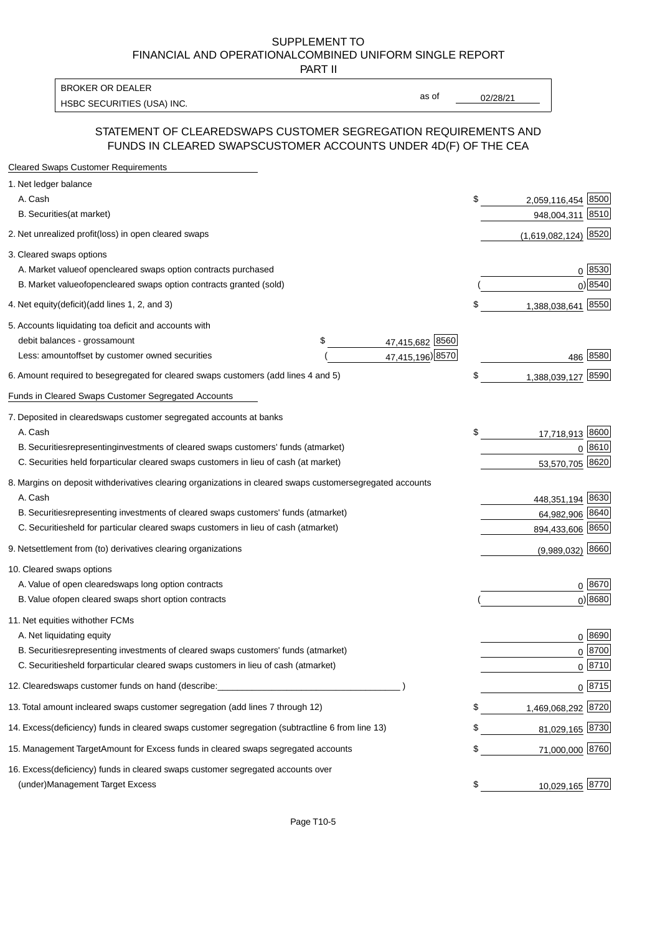PART II

HSBC SECURITIES (USA) INC. The contract of the contract of the contract of the contract of the contract of the contract of the contract of the contract of the contract of the contract of the contract of the contract of the BROKER OR DEALER

as of

### STATEMENT OF CLEARED SWAPS CUSTOMER SEGREGATION REQUIREMENTS AND FUNDS IN CLEARED SWAPS CUSTOMER ACCOUNTS UNDER 4D(F) OF THE CEA

| <b>Cleared Swaps Customer Requirements</b>                                                                  |                             |
|-------------------------------------------------------------------------------------------------------------|-----------------------------|
| 1. Net ledger balance                                                                                       |                             |
| A. Cash                                                                                                     | \$<br>8500<br>2,059,116,454 |
| B. Securities (at market)                                                                                   | 8510<br>948,004,311         |
| 2. Net unrealized profit (loss) in open cleared swaps                                                       | $(1,619,082,124)$ 8520      |
| 3. Cleared swaps options                                                                                    |                             |
| A. Market value of open cleared swaps option contracts purchased                                            | $0 \; 8530$                 |
| B. Market value of open cleared swaps option contracts granted (sold)                                       | 0) 8540                     |
| 4. Net equity (deficit) (add lines 1, 2, and 3)                                                             | \$<br>1,388,038,641 8550    |
| 5. Accounts liquidating to a deficit and accounts with                                                      |                             |
| 47,415,682 8560<br>debit balances - gross amount<br>\$                                                      |                             |
| 47,415,196) 8570<br>Less: amount offset by customer owned securities                                        | 486 8580                    |
| 6. Amount required to be segregated for cleared swaps customers (add lines 4 and 5)                         | \$<br>1,388,039,127 8590    |
| Funds in Cleared Swaps Customer Segregated Accounts                                                         |                             |
| 7. Deposited in cleared swaps customer segregated accounts at banks                                         |                             |
| A. Cash                                                                                                     | \$<br>17,718,913 8600       |
| B. Securities representing investments of cleared swaps customers' funds (at market)                        | 0 8610                      |
| C. Securities held for particular cleared swaps customers in lieu of cash (at market)                       | 53,570,705 8620             |
| 8. Margins on deposit with derivatives clearing organizations in cleared swaps customer segregated accounts |                             |
| A. Cash                                                                                                     | 448,351,194 8630            |
| B. Securities representing investments of cleared swaps customers' funds (at market)                        | 64,982,906 8640             |
| C. Securities<br>held for particular cleared swaps customers in lieu of cash (at market)                    | 894,433,606 8650            |
| 9. Net settlement from (to) derivatives clearing organizations                                              | $(9,989,032)$ 8660          |
| 10. Cleared swaps options                                                                                   |                             |
| A. Value of open cleared swaps long option contracts                                                        | $0^{8670}$                  |
| B. Value of open cleared swaps short option contracts                                                       | $0$ ) 8680                  |
| 11. Net equities with other FCMs                                                                            |                             |
| A. Net liquidating equity                                                                                   | $0^{8690}$                  |
| B. Securities representing investments of cleared swaps customers' funds (at market)                        | $0 \frac{8700}{ }$          |
| C. Securities held for particular cleared swaps customers in lieu of cash (at market)                       | $0 \, 8710$                 |
| 12. Cleared swaps customer funds on hand (describe:                                                         | $0 \frac{8715}{ }$          |
| 13. Total amount in cleared swaps customer segregation (add lines 7 through 12)                             | \$<br>1,469,068,292 8720    |
| 14. Excess (deficiency) funds in cleared swaps customer segregation (subtract line 6 from line 13)          | 81,029,165 8730             |
| 15. Management Target Amount for Excess funds in cleared swaps segregated accounts                          | \$<br>71,000,000 8760       |
| 16. Excess<br>(deficiency) funds in cleared swaps customer segregated accounts over                         |                             |
| <b>Management Target Excess</b><br>(under)                                                                  | \$<br>10,029,165 8770       |